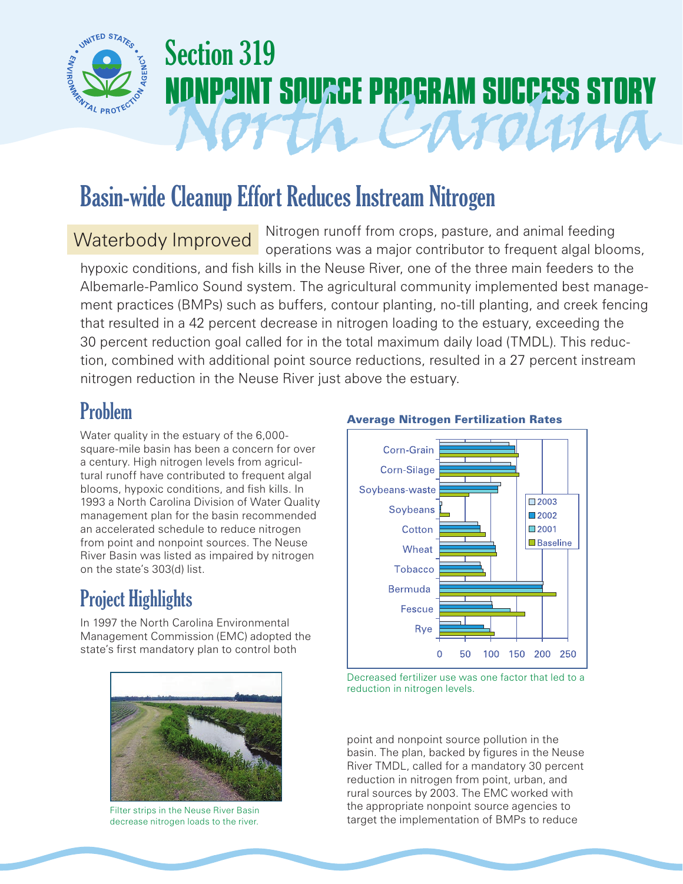

# Section 319 **POINT SOURCE PROGRAM SUCCESS STORY**<br>OT THE CATOLINA

## Basin-wide Cleanup Effort Reduces Instream Nitrogen

Waterbody Improved Nitrogen runoff from crops, pasture, and animal feeding operations was a major contributor to frequent algal blooms,

hypoxic conditions, and fish kills in the Neuse River, one of the three main feeders to the Albemarle-Pamlico Sound system. The agricultural community implemented best management practices (BMPs) such as buffers, contour planting, no-till planting, and creek fencing that resulted in a 42 percent decrease in nitrogen loading to the estuary, exceeding the 30 percent reduction goal called for in the total maximum daily load (TMDL). This reduction, combined with additional point source reductions, resulted in a 27 percent instream nitrogen reduction in the Neuse River just above the estuary.

Water quality in the estuary of the 6,000 square-mile basin has been a concern for over a century. High nitrogen levels from agricultural runoff have contributed to frequent algal blooms, hypoxic conditions, and fish kills. In 1993 a North Carolina Division of Water Quality management plan for the basin recommended an accelerated schedule to reduce nitrogen from point and nonpoint sources. The Neuse River Basin was listed as impaired by nitrogen on the state's 303(d) list.

### Project Highlights

In 1997 the North Carolina Environmental Management Commission (EMC) adopted the state's first mandatory plan to control both



Filter strips in the Neuse River Basin decrease nitrogen loads to the river.

### Problem **Average Nitrogen Fertilization Rates**



Decreased fertilizer use was one factor that led to a reduction in nitrogen levels.

point and nonpoint source pollution in the basin. The plan, backed by figures in the Neuse River TMDL, called for a mandatory 30 percent reduction in nitrogen from point, urban, and rural sources by 2003. The EMC worked with the appropriate nonpoint source agencies to target the implementation of BMPs to reduce